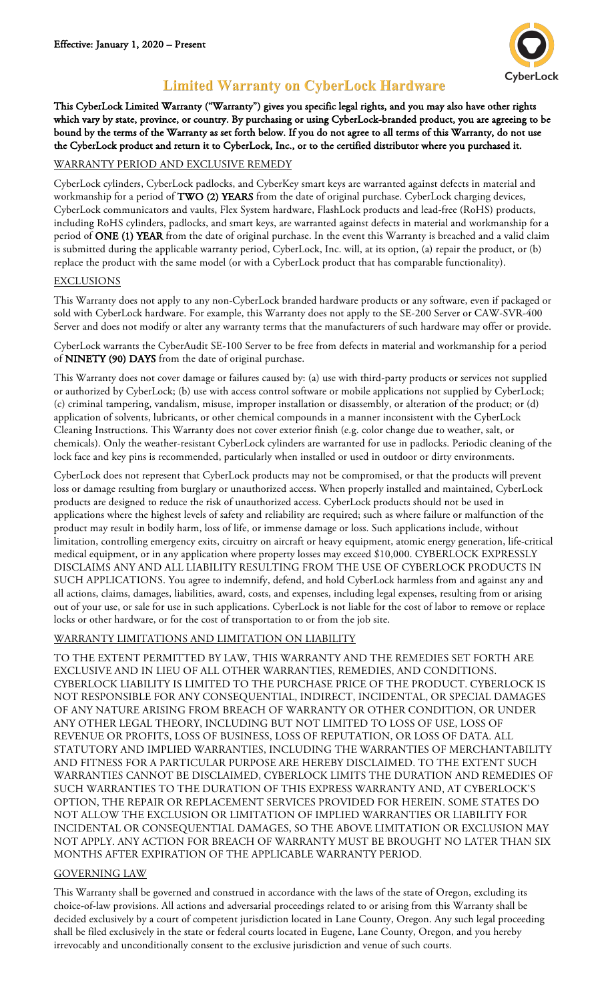

# **Limited Warranty on CyberLock Hardware**

This CyberLock Limited Warranty ("Warranty") gives you specific legal rights, and you may also have other rights which vary by state, province, or country. By purchasing or using CyberLock-branded product, you are agreeing to be bound by the terms of the Warranty as set forth below. If you do not agree to all terms of this Warranty, do not use the CyberLock product and return it to CyberLock, Inc., or to the certified distributor where you purchased it.

#### WARRANTY PERIOD AND EXCLUSIVE REMEDY

CyberLock cylinders, CyberLock padlocks, and CyberKey smart keys are warranted against defects in material and workmanship for a period of TWO (2) YEARS from the date of original purchase. CyberLock charging devices, CyberLock communicators and vaults, Flex System hardware, FlashLock products and lead-free (RoHS) products, including RoHS cylinders, padlocks, and smart keys, are warranted against defects in material and workmanship for a period of ONE (1) YEAR from the date of original purchase. In the event this Warranty is breached and a valid claim is submitted during the applicable warranty period, CyberLock, Inc. will, at its option, (a) repair the product, or (b) replace the product with the same model (or with a CyberLock product that has comparable functionality).

#### EXCLUSIONS

This Warranty does not apply to any non-CyberLock branded hardware products or any software, even if packaged or sold with CyberLock hardware. For example, this Warranty does not apply to the SE-200 Server or CAW-SVR-400 Server and does not modify or alter any warranty terms that the manufacturers of such hardware may offer or provide.

CyberLock warrants the CyberAudit SE-100 Server to be free from defects in material and workmanship for a period of NINETY (90) DAYS from the date of original purchase.

This Warranty does not cover damage or failures caused by: (a) use with third-party products or services not supplied or authorized by CyberLock; (b) use with access control software or mobile applications not supplied by CyberLock; (c) criminal tampering, vandalism, misuse, improper installation or disassembly, or alteration of the product; or (d) application of solvents, lubricants, or other chemical compounds in a manner inconsistent with the CyberLock Cleaning Instructions. This Warranty does not cover exterior finish (e.g. color change due to weather, salt, or chemicals). Only the weather-resistant CyberLock cylinders are warranted for use in padlocks. Periodic cleaning of the lock face and key pins is recommended, particularly when installed or used in outdoor or dirty environments.

CyberLock does not represent that CyberLock products may not be compromised, or that the products will prevent loss or damage resulting from burglary or unauthorized access. When properly installed and maintained, CyberLock products are designed to reduce the risk of unauthorized access. CyberLock products should not be used in applications where the highest levels of safety and reliability are required; such as where failure or malfunction of the product may result in bodily harm, loss of life, or immense damage or loss. Such applications include, without limitation, controlling emergency exits, circuitry on aircraft or heavy equipment, atomic energy generation, life-critical medical equipment, or in any application where property losses may exceed \$10,000. CYBERLOCK EXPRESSLY DISCLAIMS ANY AND ALL LIABILITY RESULTING FROM THE USE OF CYBERLOCK PRODUCTS IN SUCH APPLICATIONS. You agree to indemnify, defend, and hold CyberLock harmless from and against any and all actions, claims, damages, liabilities, award, costs, and expenses, including legal expenses, resulting from or arising out of your use, or sale for use in such applications. CyberLock is not liable for the cost of labor to remove or replace locks or other hardware, or for the cost of transportation to or from the job site.

#### WARRANTY LIMITATIONS AND LIMITATION ON LIABILITY

TO THE EXTENT PERMITTED BY LAW, THIS WARRANTY AND THE REMEDIES SET FORTH ARE EXCLUSIVE AND IN LIEU OF ALL OTHER WARRANTIES, REMEDIES, AND CONDITIONS. CYBERLOCK LIABILITY IS LIMITED TO THE PURCHASE PRICE OF THE PRODUCT. CYBERLOCK IS NOT RESPONSIBLE FOR ANY CONSEQUENTIAL, INDIRECT, INCIDENTAL, OR SPECIAL DAMAGES OF ANY NATURE ARISING FROM BREACH OF WARRANTY OR OTHER CONDITION, OR UNDER ANY OTHER LEGAL THEORY, INCLUDING BUT NOT LIMITED TO LOSS OF USE, LOSS OF REVENUE OR PROFITS, LOSS OF BUSINESS, LOSS OF REPUTATION, OR LOSS OF DATA. ALL STATUTORY AND IMPLIED WARRANTIES, INCLUDING THE WARRANTIES OF MERCHANTABILITY AND FITNESS FOR A PARTICULAR PURPOSE ARE HEREBY DISCLAIMED. TO THE EXTENT SUCH WARRANTIES CANNOT BE DISCLAIMED, CYBERLOCK LIMITS THE DURATION AND REMEDIES OF SUCH WARRANTIES TO THE DURATION OF THIS EXPRESS WARRANTY AND, AT CYBERLOCK'S OPTION, THE REPAIR OR REPLACEMENT SERVICES PROVIDED FOR HEREIN. SOME STATES DO NOT ALLOW THE EXCLUSION OR LIMITATION OF IMPLIED WARRANTIES OR LIABILITY FOR INCIDENTAL OR CONSEQUENTIAL DAMAGES, SO THE ABOVE LIMITATION OR EXCLUSION MAY NOT APPLY. ANY ACTION FOR BREACH OF WARRANTY MUST BE BROUGHT NO LATER THAN SIX MONTHS AFTER EXPIRATION OF THE APPLICABLE WARRANTY PERIOD.

#### GOVERNING LAW

This Warranty shall be governed and construed in accordance with the laws of the state of Oregon, excluding its choice-of-law provisions. All actions and adversarial proceedings related to or arising from this Warranty shall be decided exclusively by a court of competent jurisdiction located in Lane County, Oregon. Any such legal proceeding shall be filed exclusively in the state or federal courts located in Eugene, Lane County, Oregon, and you hereby irrevocably and unconditionally consent to the exclusive jurisdiction and venue of such courts.